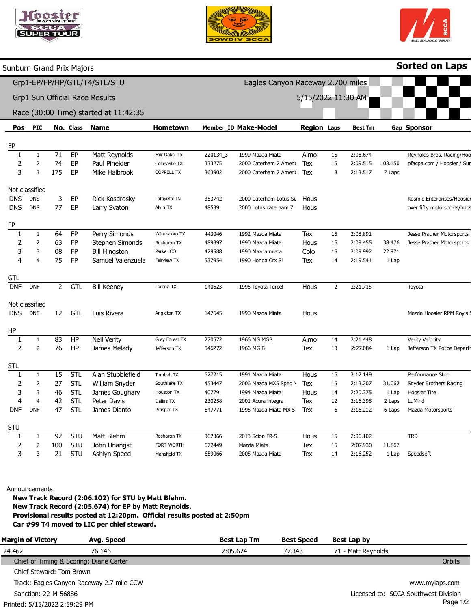| <b>RACING TIRE</b> |
|--------------------|
|                    |
| PER<br><b>TOUR</b> |
|                    |





Sorted on Laps

## Pos EP 1 2 3 Not classified DNS DNS FP 1 2 3 4 **GTI** DNF Not classified DNS HP 1 2 STL 1 2 3 4 DNF STU 1 2 3 PIC 1 2 3 DNS **DNS** 1 2 3 4 DNF DNS 1 2 1 2 3 4 DNF 1 2 3 No. Class 71 74 175 3 77 64 63 08 75 2 12 83 76 15 27 46 42 47 92 100 21 EP EP EP EP EP FP FP FP FP **GTL** GTL HP HP STL STL STL STL STL STU STU STU Name Matt Reynolds Paul Pineider Mike Halbrook Rick Kosdrosky Larry Svaton Perry Simonds Stephen Simonds Bill Hingston Samuel Valenzuela Bill Keeney Luis Rivera Neil Verity James Melady Alan Stubblefield William Snyder James Goughary Peter Davis James Dianto Matt Blehm John Unangst Ashlyn Speed Hometown Fair Oaks Tx Colleyville TX COPPELL TX Lafayette IN Alvin TX WInnsboro TX Rosharon TX Parker CO Fairview TX Lorena TX Angleton TX Grey Forest TX Jefferson TX Tomball TX Southlake TX Houston TX Dallas TX Prosper TX Rosharon TX FORT WORTH Mansfield TX Member\_ID Make-Model 220134\_3 333275 363902 353742 48539 443046 489897 429588 537954 140623 147645 270572 546272 527215 453447 40779 230258 547771 362366 672449 659066 1999 Mazda Miata 2000 Caterham 7 Amerio 2000 Caterham 7 Amerio 2000 Caterham Lotus Su 2000 Lotus caterham 7 1992 Mazda Miata 1990 Mazda Miata 1990 Mazda miata 1990 Honda Crx Si 1995 Toyota Tercel 1990 Mazda Miata 1966 MG MGB 1966 MG B 1991 Mazda Miata 2006 Mazda MX5 Spec N 1994 Mazda Miata 2001 Acura integra 1995 Mazda Miata MX-5 2013 Scion FR-S Mazda Miata 2005 Mazda Miata Region Laps Almo Tex Tex Hous **Hous** Tex Hous Colo Tex Hous Hous Almo Tex Hous Tex **Hous** Tex Tex Hous Tex Tex 15 15 8 15 15 15 14 2 14 13 15 15 14 12 6 15 15 14 Best Tm 2:05.674 2:09.515 2:13.517 2:08.891 2:09.455 2:09.992 2:19.541 2:21.715 2:21.448 2:27.084 2:12.149 2:13.207 2:20.375 2:16.398 2:16.212 2:06.102 2:07.930 2:16.252 Gap Sponsor 1:03.150 7 Laps 38.476 22.971 1 Lap 1 Lap 31.062 1 Lap 2 Laps 6 Laps 11.867 1 Lap Reynolds Bros. Racing/Hoc pfacpa.com / Hoosier / Sur Kosmic Enterprises/Hoosier over fifty motorsports/hoos Jesse Prather Motorsports Jesse Prather Motorsports Toyota Mazda Hoosier RPM Roy's : Verity Velocity Jefferson TX Police Depart Performance Stop Snyder Brothers Racing Hoosier Tire LuMind Mazda Motorsports TRD Speedsoft Sunburn Grand Prix Majors Grp1-EP/FP/HP/GTL/T4/STL/STU Grp1 Sun Official Race Results Race (30:00 Time) started at 11:42:35 Eagles Canyon Raceway 2.700 miles 5/15/2022 11:30 AM

Announcements

New Track Record (2:06.102) for STU by Matt Blehm. New Track Record (2:05.674) for EP by Matt Reynolds. Provisional results posted at 12:20pm. Official results posted at 2:50pm Car #99 T4 moved to LIC per chief steward.

| <b>Margin of Victory</b>                | Avg. Speed                                | <b>Best Lap Tm</b> | <b>Best Speed</b> | Best Lap by                          |
|-----------------------------------------|-------------------------------------------|--------------------|-------------------|--------------------------------------|
| 24.462                                  | 76.146                                    | 2:05.674           | 77.343            | 71 - Matt Reynolds                   |
| Chief of Timing & Scoring: Diane Carter |                                           |                    |                   | Orbits                               |
| Chief Steward: Tom Brown                |                                           |                    |                   |                                      |
|                                         | Track: Eagles Canyon Raceway 2.7 mile CCW |                    |                   | www.mylaps.com                       |
| Sanction: 22-M-56886                    |                                           |                    |                   | Licensed to: SCCA Southwest Division |
| Printed: 5/15/2022 2:59:29 PM           |                                           |                    |                   | Page 1/2                             |